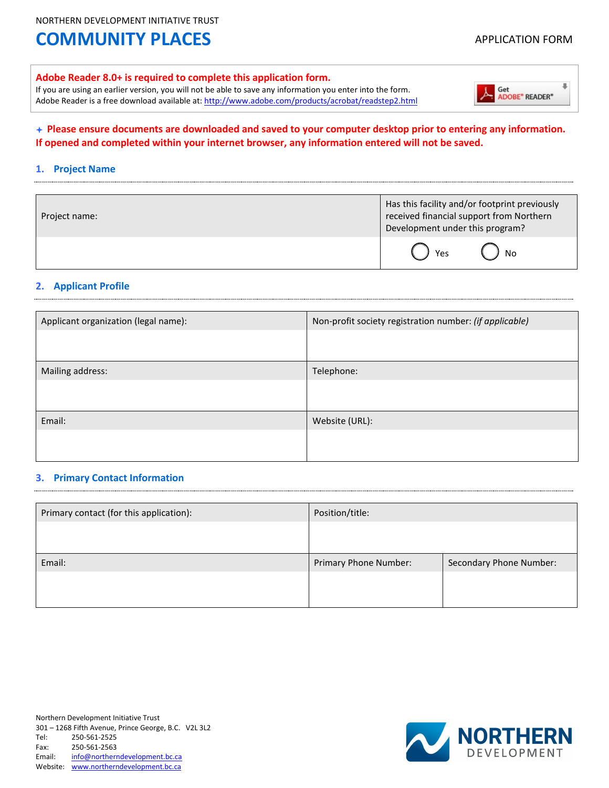#### **Adobe Reader 8.0+ is required to complete this application form.**

If you are using an earlier version, you will not be able to save any information you enter into the form. Adobe Reader is a free download available at[: http://www.adobe.com/products/acrobat/readstep2.html](http://www.adobe.com/products/acrobat/readstep2.html) 



#### **Please ensure documents are downloaded and saved to your computer desktop prior to entering any information. If opened and completed within your internet browser, any information entered will not be saved.**

#### **1. Project Name**

| Project name: | Has this facility and/or footprint previously<br>received financial support from Northern<br>Development under this program? |
|---------------|------------------------------------------------------------------------------------------------------------------------------|
|               | No<br>Yes                                                                                                                    |

#### **2. Applicant Profile**

| Applicant organization (legal name): | Non-profit society registration number: (if applicable) |  |
|--------------------------------------|---------------------------------------------------------|--|
|                                      |                                                         |  |
| Mailing address:                     | Telephone:                                              |  |
|                                      |                                                         |  |
| Email:                               | Website (URL):                                          |  |
|                                      |                                                         |  |

#### **3. Primary Contact Information**

| Primary contact (for this application): | Position/title:       |                                |
|-----------------------------------------|-----------------------|--------------------------------|
|                                         |                       |                                |
|                                         |                       |                                |
| Email:                                  | Primary Phone Number: | <b>Secondary Phone Number:</b> |
|                                         |                       |                                |
|                                         |                       |                                |

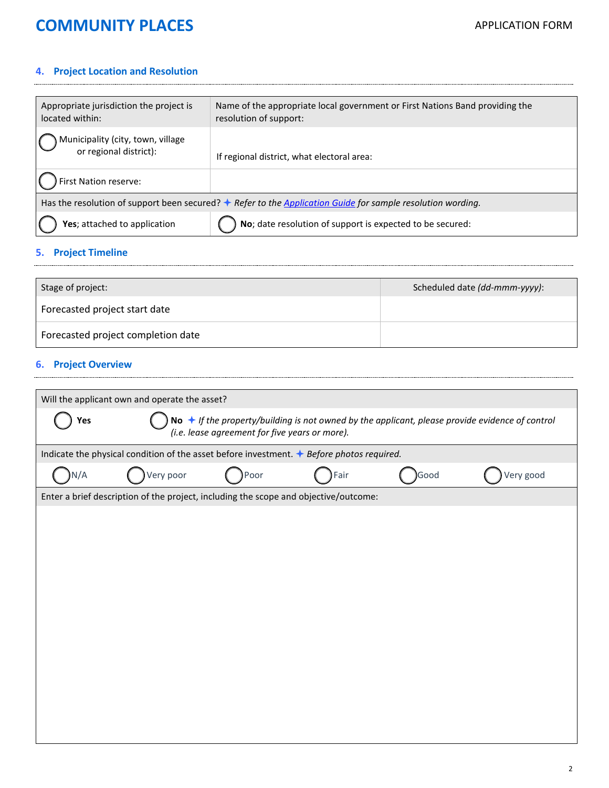### **4. Project Location and Resolution**

| Appropriate jurisdiction the project is<br>located within:                                                           | Name of the appropriate local government or First Nations Band providing the<br>resolution of support: |  |
|----------------------------------------------------------------------------------------------------------------------|--------------------------------------------------------------------------------------------------------|--|
| Municipality (city, town, village<br>or regional district):                                                          | If regional district, what electoral area:                                                             |  |
| First Nation reserve:                                                                                                |                                                                                                        |  |
| Has the resolution of support been secured? $\bigstar$ Refer to the Application Guide for sample resolution wording. |                                                                                                        |  |
| Yes; attached to application                                                                                         | No; date resolution of support is expected to be secured:                                              |  |

### **5. Project Timeline**

| Stage of project:                  | Scheduled date (dd-mmm-yyyy): |
|------------------------------------|-------------------------------|
| Forecasted project start date      |                               |
| Forecasted project completion date |                               |

### **6. Project Overview**

| Will the applicant own and operate the asset?                                                                                                                     |                                                                                           |      |      |      |           |
|-------------------------------------------------------------------------------------------------------------------------------------------------------------------|-------------------------------------------------------------------------------------------|------|------|------|-----------|
| No $\bigstar$ If the property/building is not owned by the applicant, please provide evidence of control<br>Yes<br>(i.e. lease agreement for five years or more). |                                                                                           |      |      |      |           |
|                                                                                                                                                                   | Indicate the physical condition of the asset before investment. ♦ Before photos required. |      |      |      |           |
| N/A                                                                                                                                                               | Very poor                                                                                 | Poor | Fair | Good | Very good |
|                                                                                                                                                                   | Enter a brief description of the project, including the scope and objective/outcome:      |      |      |      |           |
|                                                                                                                                                                   |                                                                                           |      |      |      |           |
|                                                                                                                                                                   |                                                                                           |      |      |      |           |
|                                                                                                                                                                   |                                                                                           |      |      |      |           |
|                                                                                                                                                                   |                                                                                           |      |      |      |           |
|                                                                                                                                                                   |                                                                                           |      |      |      |           |
|                                                                                                                                                                   |                                                                                           |      |      |      |           |
|                                                                                                                                                                   |                                                                                           |      |      |      |           |
|                                                                                                                                                                   |                                                                                           |      |      |      |           |
|                                                                                                                                                                   |                                                                                           |      |      |      |           |
|                                                                                                                                                                   |                                                                                           |      |      |      |           |
|                                                                                                                                                                   |                                                                                           |      |      |      |           |
|                                                                                                                                                                   |                                                                                           |      |      |      |           |
|                                                                                                                                                                   |                                                                                           |      |      |      |           |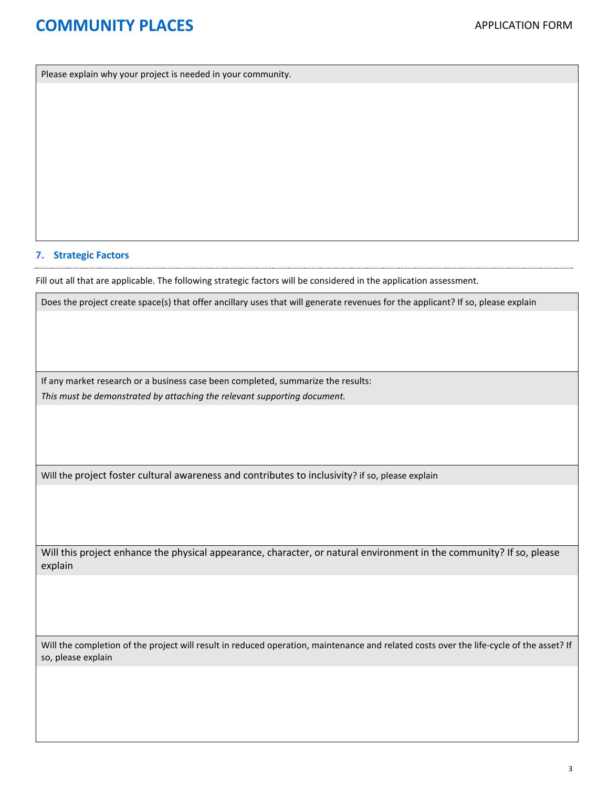Please explain why your project is needed in your community.

#### **7. Strategic Factors**

Fill out all that are applicable. The following strategic factors will be considered in the application assessment.

Does the project create space(s) that offer ancillary uses that will generate revenues for the applicant? If so, please explain

If any market research or a business case been completed, summarize the results: *This must be demonstrated by attaching the relevant supporting document.*

Will the project foster cultural awareness and contributes to inclusivity? if so, please explain

Will this project enhance the physical appearance, character, or natural environment in the community? If so, please explain

Will the completion of the project will result in reduced operation, maintenance and related costs over the life-cycle of the asset? If so, please explain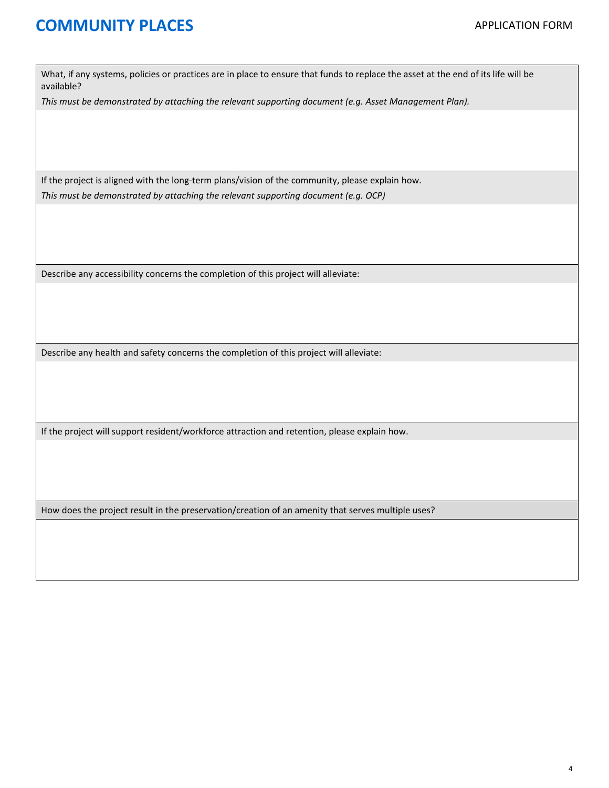What, if any systems, policies or practices are in place to ensure that funds to replace the asset at the end of its life will be available?

*This must be demonstrated by attaching the relevant supporting document (e.g. Asset Management Plan).*

If the project is aligned with the long-term plans/vision of the community, please explain how. *This must be demonstrated by attaching the relevant supporting document (e.g. OCP)*

Describe any accessibility concerns the completion of this project will alleviate:

Describe any health and safety concerns the completion of this project will alleviate:

If the project will support resident/workforce attraction and retention, please explain how.

How does the project result in the preservation/creation of an amenity that serves multiple uses?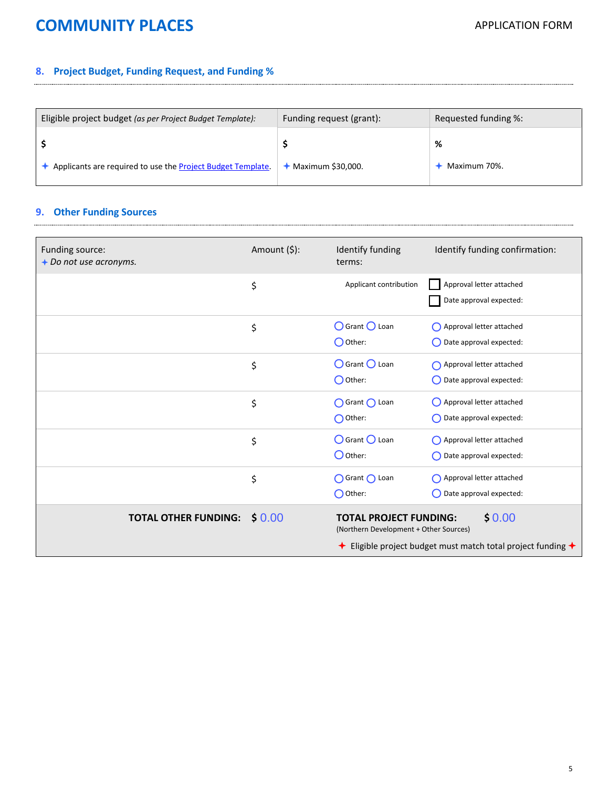### **8. Project Budget, Funding Request, and Funding %**

| Eligible project budget (as per Project Budget Template):   | Funding request (grant): | Requested funding %: |
|-------------------------------------------------------------|--------------------------|----------------------|
|                                                             |                          | %                    |
| Applicants are required to use the Project Budget Template. | Maximum \$30,000.        | Maximum 70%.         |

### **9. Other Funding Sources**

| Funding source:<br>$+$ Do not use acronyms. | Amount (\$): | Identify funding<br>terms:                                                                                                                                         | Identify funding confirmation:                                 |
|---------------------------------------------|--------------|--------------------------------------------------------------------------------------------------------------------------------------------------------------------|----------------------------------------------------------------|
|                                             | \$           | Applicant contribution                                                                                                                                             | Approval letter attached<br>Date approval expected:            |
|                                             | \$           | ○ Grant ○ Loan<br>$\bigcap$ Other:                                                                                                                                 | Approval letter attached<br>$\bigcap$ Date approval expected:  |
|                                             | \$           | O Grant O Loan<br>$\bigcirc$ Other:                                                                                                                                | Approval letter attached<br>$\bigcirc$ Date approval expected: |
|                                             | \$           | ◯ Grant ◯ Loan<br>$\bigcap$ Other:                                                                                                                                 | Approval letter attached<br>$\bigcap$ Date approval expected:  |
|                                             | \$           | O Grant O Loan<br>$\bigcirc$ Other:                                                                                                                                | Approval letter attached<br>$\bigcap$ Date approval expected:  |
|                                             | \$           | ○ Grant ○ Loan<br>$\bigcap$ Other:                                                                                                                                 | Approval letter attached<br>◯ Date approval expected:          |
| <b>TOTAL OTHER FUNDING:</b>                 | \$0.00       | \$0.00<br><b>TOTAL PROJECT FUNDING:</b><br>(Northern Development + Other Sources)<br><b>←</b> Eligible project budget must match total project funding $\triangle$ |                                                                |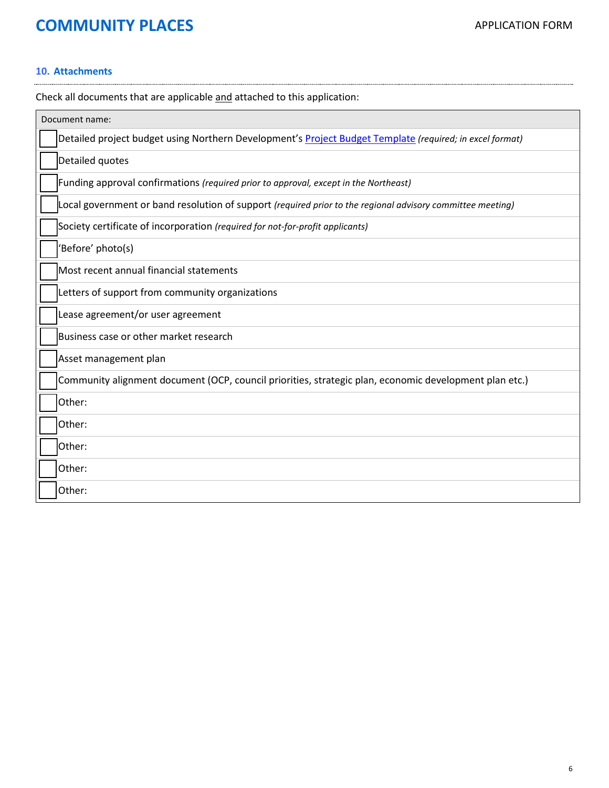#### **10. Attachments**

Check all documents that are applicable and attached to this application:

| Document name:                                                                                             |
|------------------------------------------------------------------------------------------------------------|
| Detailed project budget using Northern Development's Project Budget Template (required; in excel format)   |
| Detailed quotes                                                                                            |
| Funding approval confirmations (required prior to approval, except in the Northeast)                       |
| Local government or band resolution of support (required prior to the regional advisory committee meeting) |
| Society certificate of incorporation (required for not-for-profit applicants)                              |
| 'Before' photo(s)                                                                                          |
| Most recent annual financial statements                                                                    |
| Letters of support from community organizations                                                            |
| Lease agreement/or user agreement                                                                          |
| Business case or other market research                                                                     |
| Asset management plan                                                                                      |
| Community alignment document (OCP, council priorities, strategic plan, economic development plan etc.)     |
| Other:                                                                                                     |
| Other:                                                                                                     |
| Other:                                                                                                     |
| Other:                                                                                                     |
| Other:                                                                                                     |